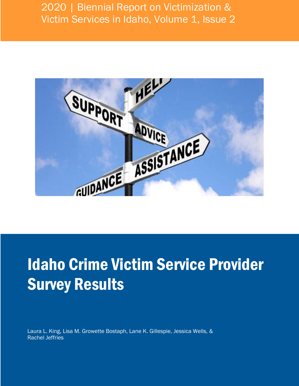## 2020 | Biennial Report on Victimization & Victim Services in Idaho, Volume 1, Issue 2



# Idaho Crime Victim Service Provider Survey Results

Laura L. King, Lisa M. Growette Bostaph, Lane K. Gillespie, Jessica Wells, & Rachel Jeffries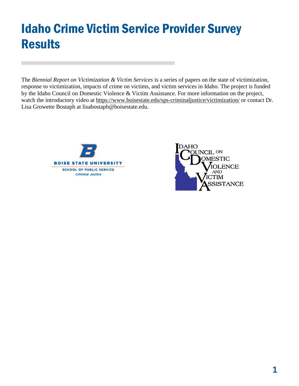## Idaho Crime Victim Service Provider Survey Results

The *Biennial Report on Victimization & Victim Services* is a series of papers on the state of victimization, response to victimization, impacts of crime on victims, and victim services in Idaho. The project is funded by the Idaho Council on Domestic Violence & Victim Assistance. For more information on the project, watch the introductory video at<https://www.boisestate.edu/sps-criminaljustice/victimization/> or contact Dr. Lisa Growette Bostaph at lisabostaph@boisestate.edu.



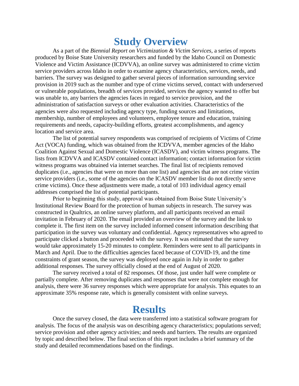## **Study Overview**

As a part of the *Biennial Report on Victimization & Victim Services*, a series of reports produced by Boise State University researchers and funded by the Idaho Council on Domestic Violence and Victim Assistance (ICDVVA), an online survey was administered to crime victim service providers across Idaho in order to examine agency characteristics, services, needs, and barriers. The survey was designed to gather several pieces of information surrounding service provision in 2019 such as the number and type of crime victims served, contact with underserved or vulnerable populations, breadth of services provided, services the agency wanted to offer but was unable to, any barriers the agencies faces in regard to service provision, and the administration of satisfaction surveys or other evaluation activities. Characteristics of the agencies were also requested including agency type, funding sources and limitations, membership, number of employees and volunteers, employee tenure and education, training requirements and needs, capacity-building efforts, greatest accomplishments, and agency location and service area.

The list of potential survey respondents was comprised of recipients of Victims of Crime Act (VOCA) funding, which was obtained from the ICDVVA, member agencies of the Idaho Coalition Against Sexual and Domestic Violence (ICASDV), and victim witness programs. The lists from ICDVVA and ICASDV contained contact information; contact information for victim witness programs was obtained via internet searches. The final list of recipients removed duplicates (i.e., agencies that were on more than one list) and agencies that are not crime victim service providers (i.e., some of the agencies on the ICASDV member list do not directly serve crime victims). Once these adjustments were made, a total of 103 individual agency email addresses comprised the list of potential participants.

Prior to beginning this study, approval was obtained from Boise State University's Institutional Review Board for the protection of human subjects in research. The survey was constructed in Qualtrics, an online survey platform, and all participants received an email invitation in February of 2020. The email provided an overview of the survey and the link to complete it. The first item on the survey included informed consent information describing that participation in the survey was voluntary and confidential. Agency representatives who agreed to participate clicked a button and proceeded with the survey. It was estimated that the survey would take approximately 15-20 minutes to complete. Reminders were sent to all participants in March and April. Due to the difficulties agencies faced because of COVID-19, and the time constraints of grant season, the survey was deployed once again in July in order to gather additional responses. The survey officially closed at the end of August of 2020.

The survey received a total of 82 responses. Of those, just under half were complete or partially complete. After removing duplicates and responses that were not complete enough for analysis, there were 36 survey responses which were appropriate for analysis. This equates to an approximate 35% response rate, which is generally consistent with online surveys.

## **Results**

Once the survey closed, the data were transferred into a statistical software program for analysis. The focus of the analysis was on describing agency characteristics; populations served; service provision and other agency activities; and needs and barriers. The results are organized by topic and described below. The final section of this report includes a brief summary of the study and detailed recommendations based on the findings.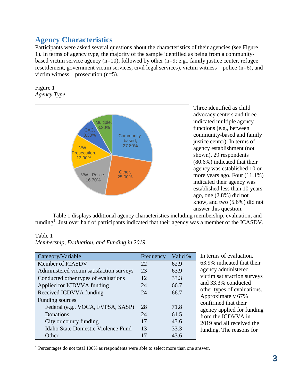## **Agency Characteristics**

Participants were asked several questions about the characteristics of their agencies (see Figure 1). In terms of agency type, the majority of the sample identified as being from a communitybased victim service agency  $(n=10)$ , followed by other  $(n=9; e.g., family justice center, refugee)$ resettlement, government victim services, civil legal services), victim witness – police (n=6), and victim witness – prosecution  $(n=5)$ .

Figure 1 *Agency Type*



Three identified as child advocacy centers and three indicated multiple agency functions (e.g., between community-based and family justice center). In terms of agency establishment (not shown), 29 respondents (80.6%) indicated that their agency was established 10 or more years ago. Four (11.1%) indicated their agency was established less than 10 years ago, one (2.8%) did not know, and two (5.6%) did not answer this question.

Table 1 displays additional agency characteristics including membership, evaluation, and funding<sup>1</sup>. Just over half of participants indicated that their agency was a member of the ICASDV.

#### Table 1

l

|  | Membership, Evaluation, and Funding in 2019 |  |  |  |
|--|---------------------------------------------|--|--|--|
|--|---------------------------------------------|--|--|--|

| Category/Variable                        | Frequency | Valid % | In terr         |
|------------------------------------------|-----------|---------|-----------------|
| Member of ICASDV                         | 22        | 62.9    | 63.9%           |
| Administered victim satisfaction surveys | 23        | 63.9    | agenc           |
| Conducted other types of evaluations     | 12        | 33.3    | victim          |
| Applied for ICDVVA funding               | 24        | 66.7    | and 33          |
| Received ICDVVA funding                  | 24        | 66.7    | other t         |
| Funding sources                          |           |         | Appro<br>confir |
| Federal (e.g., VOCA, FVPSA, SASP)        | 28        | 71.8    | agenc           |
| Donations                                | 24        | 61.5    | from t          |
| City or county funding                   | 17        | 43.6    | 2019:           |
| Idaho State Domestic Violence Fund       | 13        | 33.3    | fundir          |
| Other                                    |           | 43.6    |                 |

ns of evaluation. indicated that their y administered satisfaction surveys 3.3% conducted types of evaluations. ximately 67% med that their y applied for funding the ICDVVA in and all received the ng. The reasons for

<sup>1</sup> Percentages do not total 100% as respondents were able to select more than one answer.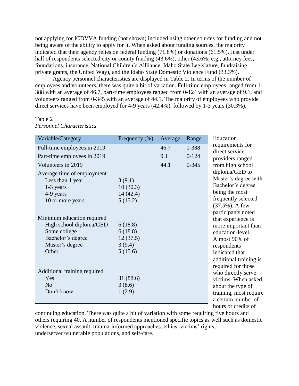not applying for ICDVVA funding (not shown) included using other sources for funding and not being aware of the ability to apply for it. When asked about funding sources, the majority indicated that their agency relies on federal funding (71.8%) or donations (61.5%). Just under half of respondents selected city or county funding  $(43.6\%)$ , other  $(43.6\%; e.g.,$  attorney fees, foundations, insurance, National Children's Allliance, Idaho State Legislature, fundraising, private grants, the United Way), and the Idaho State Domestic Violence Fund (33.3%).

Agency personnel characteristics are displayed in Table 2. In terms of the number of employees and volunteers, there was quite a bit of variation. Full-time employees ranged from 1- 388 with an average of 46.7, part-time employees ranged from 0-124 with an average of 9.1, and volunteers ranged from 0-345 with an average of 44.1. The majority of employees who provide direct services have been employed for 4-9 years (42.4%), followed by 1-3 years (30.3%).

#### Table 2

| Variable/Category            | Frequency $(\%)$ | Average | Range     | Education                          |
|------------------------------|------------------|---------|-----------|------------------------------------|
| Full-time employees in 2019  |                  | 46.7    | 1-388     | requirements for<br>direct service |
| Part-time employees in 2019  |                  | 9.1     | $0-124$   | providers ranged                   |
| Volunteers in 2019           |                  | 44.1    | $0 - 345$ | from high school                   |
| Average time of employment   |                  |         |           | diploma/GED to                     |
| Less than 1 year             | 3(9.1)           |         |           | Master's degree with               |
| $1-3$ years                  | 10(30.3)         |         |           | Bachelor's degree                  |
| 4-9 years                    | 14(42.4)         |         |           | being the most                     |
| 10 or more years             | 5(15.2)          |         |           | frequently selected                |
|                              |                  |         |           | (37.5%). A few                     |
|                              |                  |         |           | participants noted                 |
| Minimum education required   |                  |         |           | that experience is                 |
| High school diploma/GED      | 6(18.8)          |         |           | more important than                |
| Some college                 | 6(18.8)          |         |           | education-level.                   |
| Bachelor's degree            | 12(37.5)         |         |           | Almost 90% of                      |
| Master's degree              | 3(9.4)           |         |           | respondents                        |
| Other                        | 5(15.6)          |         |           | indicated that                     |
|                              |                  |         |           | additional training is             |
|                              |                  |         |           | required for those                 |
| Additional training required |                  |         |           | who directly serve                 |
| Yes                          | 31 (88.6)        |         |           | victims. When asked                |
| N <sub>o</sub>               | 3(8.6)           |         |           | about the type of                  |
| Don't know                   | 1(2.9)           |         |           | training, most require             |
|                              |                  |         |           | a certain number of                |
|                              |                  |         |           | hours or credits of                |

*Personnel Characteristics*

continuing education. There was quite a bit of variation with some requiring five hours and others requiring 40. A number of respondents mentioned specific topics as well such as domestic violence, sexual assault, trauma-informed approaches, ethics, victims' rights, underserved/vulnerable populations, and self-care.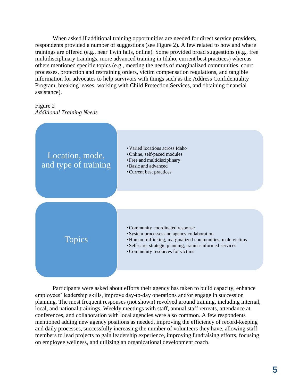When asked if additional training opportunities are needed for direct service providers, respondents provided a number of suggestions (see Figure 2). A few related to how and where trainings are offered (e.g., near Twin falls, online). Some provided broad suggestions (e.g., free multidisciplinary trainings, more advanced training in Idaho, current best practices) whereas others mentioned specific topics (e.g., meeting the needs of marginalized communities, court processes, protection and restraining orders, victim compensation regulations, and tangible information for advocates to help survivors with things such as the Address Confidentiality Program, breaking leases, working with Child Protection Services, and obtaining financial assistance).

#### Figure 2 *Additional Training Needs*



Participants were asked about efforts their agency has taken to build capacity, enhance employees' leadership skills, improve day-to-day operations and/or engage in succession planning. The most frequent responses (not shown) revolved around training, including internal, local, and national trainings. Weekly meetings with staff, annual staff retreats, attendance at conferences, and collaboration with local agencies were also common. A few respondents mentioned adding new agency positions as needed, improving the efficiency of record-keeping and daily processes, successfully increasing the number of volunteers they have, allowing staff members to lead projects to gain leadership experience, improving fundraising efforts, focusing on employee wellness, and utilizing an organizational development coach.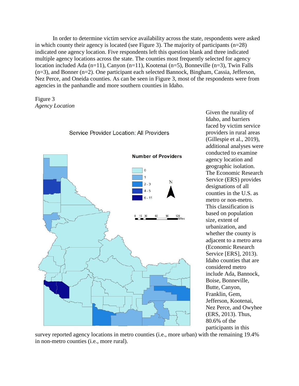In order to determine victim service availability across the state, respondents were asked in which county their agency is located (see Figure 3). The majority of participants (n=28) indicated one agency location. Five respondents left this question blank and three indicated multiple agency locations across the state. The counties most frequently selected for agency location included Ada (n=11), Canyon (n=11), Kootenai (n=5), Bonneville (n=3), Twin Falls (n=3), and Bonner (n=2). One participant each selected Bannock, Bingham, Cassia, Jefferson, Nez Perce, and Oneida counties. As can be seen in Figure 3, most of the respondents were from agencies in the panhandle and more southern counties in Idaho.





Given the rurality of Idaho, and barriers faced by victim service providers in rural areas (Gillespie et al., 2019), additional analyses were conducted to examine agency location and geographic isolation. The Economic Research Service (ERS) provides designations of all counties in the U.S. as metro or non-metro. This classification is based on population size, extent of urbanization, and whether the county is adjacent to a metro area (Economic Research Service [ERS], 2013). Idaho counties that are considered metro include Ada, Bannock, Boise, Bonneville, Butte, Canyon, Franklin, Gem, Jefferson, Kootenai, Nez Perce, and Owyhee (ERS, 2013). Thus, 80.6% of the participants in this

survey reported agency locations in metro counties (i.e., more urban) with the remaining 19.4% in non-metro counties (i.e., more rural).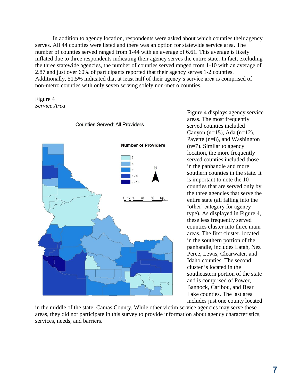In addition to agency location, respondents were asked about which counties their agency serves. All 44 counties were listed and there was an option for statewide service area. The number of counties served ranged from 1-44 with an average of 6.61. This average is likely inflated due to three respondents indicating their agency serves the entire state. In fact, excluding the three statewide agencies, the number of counties served ranged from 1-10 with an average of 2.87 and just over 60% of participants reported that their agency serves 1-2 counties. Additionally, 51.5% indicated that at least half of their agency's service area is comprised of non-metro counties with only seven serving solely non-metro counties.





Figure 4 displays agency service areas. The most frequently served counties included Canyon (n=15), Ada (n=12), Payette (n=8), and Washington (n=7). Similar to agency location, the more frequently served counties included those in the panhandle and more southern counties in the state. It is important to note the 10 counties that are served only by the three agencies that serve the entire state (all falling into the 'other' category for agency type). As displayed in Figure 4, these less frequently served counties cluster into three main areas. The first cluster, located in the southern portion of the panhandle, includes Latah, Nez Perce, Lewis, Clearwater, and Idaho counties. The second cluster is located in the southeastern portion of the state and is comprised of Power, Bannock, Caribou, and Bear Lake counties. The last area includes just one county located

in the middle of the state: Camas County. While other victim service agencies may serve these areas, they did not participate in this survey to provide information about agency characteristics, services, needs, and barriers.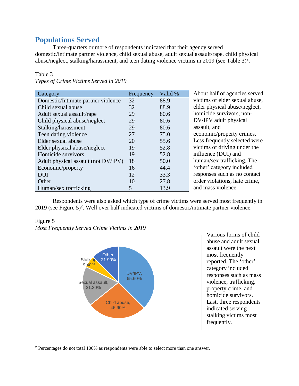## **Populations Served**

Three-quarters or more of respondents indicated that their agency served domestic/intimate partner violence, child sexual abuse, adult sexual assault/rape, child physical abuse/neglect, stalking/harassment, and teen dating violence victims in 2019 (see Table  $3)^2$ .

#### Table 3

| Category                            | Frequency | Valid % | About half of agencies served  |
|-------------------------------------|-----------|---------|--------------------------------|
| Domestic/Intimate partner violence  | 32        | 88.9    | victims of elder sexual abuse, |
| Child sexual abuse                  | 32        | 88.9    | elder physical abuse/neglect,  |
| Adult sexual assault/rape           | 29        | 80.6    | homicide survivors, non-       |
| Child physical abuse/neglect        | 29        | 80.6    | DV/IPV adult physical          |
| Stalking/harassment                 | 29        | 80.6    | assault, and                   |
| Teen dating violence                | 27        | 75.0    | economic/property crimes.      |
| Elder sexual abuse                  | 20        | 55.6    | Less frequently selected were  |
| Elder physical abuse/neglect        | 19        | 52.8    | victims of driving under the   |
| Homicide survivors                  | 19        | 52.8    | influence (DUI) and            |
| Adult physical assault (not DV/IPV) | 18        | 50.0    | human/sex trafficking. The     |
| Economic/property                   | 16        | 44.4    | 'other' category included      |
| <b>DUI</b>                          | 12        | 33.3    | responses such as no contact   |
| Other                               | 10        | 27.8    | order violations, hate crime,  |
| Human/sex trafficking               | 5         | 13.9    | and mass violence.             |

*Types of Crime Victims Served in 2019*

Respondents were also asked which type of crime victims were served most frequently in 2019 (see Figure 5)<sup>2</sup>. Well over half indicated victims of domestic/intimate partner violence.

#### Figure 5

l

*Most Frequently Served Crime Victims in 2019*



Various forms of child abuse and adult sexual assault were the next most frequently reported. The 'other' category included responses such as mass violence, trafficking, property crime, and homicide survivors. Last, three respondents indicated serving stalking victims most frequently.

<sup>2</sup> Percentages do not total 100% as respondents were able to select more than one answer.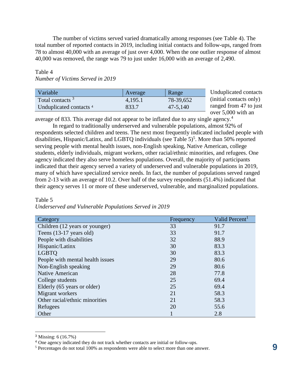The number of victims served varied dramatically among responses (see Table 4). The total number of reported contacts in 2019, including initial contacts and follow-ups, ranged from 78 to almost 40,000 with an average of just over 4,000. When the one outlier response of almost 40,000 was removed, the range was 79 to just under 16,000 with an average of 2,490.

#### Table 4

#### *Number of Victims Served in 2019*

| Variable                           | Average | Range     |  |
|------------------------------------|---------|-----------|--|
| Total contacts <sup>3</sup>        | 4,195.1 | 78-39,652 |  |
| Unduplicated contacts <sup>4</sup> | 833.7   | 47-5,140  |  |

Unduplicated contacts (initial contacts only) ranged from 47 to just over 5,000 with an

average of 833. This average did not appear to be inflated due to any single agency.<sup>4</sup>

In regard to traditionally underserved and vulnerable populations, almost 92% of respondents selected children and teens. The next most frequently indicated included people with disabilities, Hispanic/Latinx, and LGBTQ individuals (see Table 5)<sup>5</sup>. More than 50% reported serving people with mental health issues, non-English speaking, Native American, college students, elderly individuals, migrant workers, other racial/ethnic minorities, and refugees. One agency indicated they also serve homeless populations. Overall, the majority of participants indicated that their agency served a variety of underserved and vulnerable populations in 2019, many of which have specialized service needs. In fact, the number of populations served ranged from 2-13 with an average of 10.2. Over half of the survey respondents (51.4%) indicated that their agency serves 11 or more of these underserved, vulnerable, and marginalized populations.

| Category                          | Frequency | Valid Percent <sup>1</sup> |
|-----------------------------------|-----------|----------------------------|
| Children (12 years or younger)    | 33        | 91.7                       |
| Teens $(13-17 \text{ years old})$ | 33        | 91.7                       |
| People with disabilities          | 32        | 88.9                       |
| Hispanic/Latinx                   | 30        | 83.3                       |
| <b>LGBTO</b>                      | 30        | 83.3                       |
| People with mental health issues  | 29        | 80.6                       |
| Non-English speaking              | 29        | 80.6                       |
| Native American                   | 28        | 77.8                       |
| College students                  | 25        | 69.4                       |
| Elderly (65 years or older)       | 25        | 69.4                       |
| Migrant workers                   | 21        | 58.3                       |
| Other racial/ethnic minorities    | 21        | 58.3                       |
| Refugees                          | 20        | 55.6                       |
| Other                             |           | 2.8                        |

Table 5 *Underserved and Vulnerable Populations Served in 2019*

l

<sup>3</sup> Missing: 6 (16.7%)

<sup>4</sup> One agency indicated they do not track whether contacts are initial or follow-ups.

<sup>5</sup> Percentages do not total 100% as respondents were able to select more than one answer.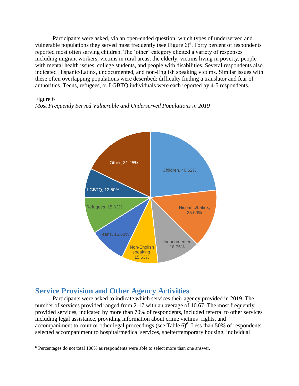Participants were asked, via an open-ended question, which types of underserved and vulnerable populations they served most frequently (see Figure  $6$ <sup>6</sup>. Forty percent of respondents reported most often serving children. The 'other' category elicited a variety of responses including migrant workers, victims in rural areas, the elderly, victims living in poverty, people with mental health issues, college students, and people with disabilities. Several respondents also indicated Hispanic/Latinx, undocumented, and non-English speaking victims. Similar issues with these often overlapping populations were described: difficulty finding a translator and fear of authorities. Teens, refugees, or LGBTQ individuals were each reported by 4-5 respondents.

#### Figure 6

l





## **Service Provision and Other Agency Activities**

Participants were asked to indicate which services their agency provided in 2019. The number of services provided ranged from 2-17 with an average of 10.67. The most frequently provided services, indicated by more than 70% of respondents, included referral to other services including legal assistance, providing information about crime victims' rights, and accompaniment to court or other legal proceedings (see Table  $6)^6$ . Less than 50% of respondents selected accompaniment to hospital/medical services, shelter/temporary housing, individual

<sup>6</sup> Percentages do not total 100% as respondents were able to select more than one answer.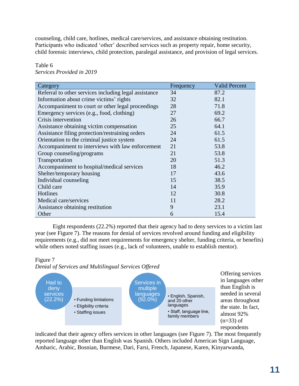counseling, child care, hotlines, medical care/services, and assistance obtaining restitution. Participants who indicated 'other' described services such as property repair, home security, child forensic interviews, child protection, paralegal assistance, and provision of legal services.

| Category                                              | Frequency | <b>Valid Percent</b> |
|-------------------------------------------------------|-----------|----------------------|
| Referral to other services including legal assistance | 34        | 87.2                 |
| Information about crime victims' rights               | 32        | 82.1                 |
| Accompaniment to court or other legal proceedings     | 28        | 71.8                 |
| Emergency services (e.g., food, clothing)             | 27        | 69.2                 |
| Crisis intervention                                   | 26        | 66.7                 |
| Assistance obtaining victim compensation              | 25        | 64.1                 |
| Assistance filing protection/restraining orders       | 24        | 61.5                 |
| Orientation to the criminal justice system            | 24        | 61.5                 |
| Accompaniment to interviews with law enforcement      | 21        | 53.8                 |
| Group counseling/programs                             | 21        | 53.8                 |
| Transportation                                        | 20        | 51.3                 |
| Accompaniment to hospital/medical services            | 18        | 46.2                 |
| Shelter/temporary housing                             | 17        | 43.6                 |
| Individual counseling                                 | 15        | 38.5                 |
| Child care                                            | 14        | 35.9                 |
| Hotlines                                              | 12        | 30.8                 |
| Medical care/services                                 | 11        | 28.2                 |
| Assistance obtaining restitution                      | 9         | 23.1                 |
| Other                                                 | 6         | 15.4                 |

#### Table 6 *Services Provided in 2019*

Eight respondents (22.2%) reported that their agency had to deny services to a victim last year (see Figure 7). The reasons for denial of services revolved around funding and eligibility requirements (e.g., did not meet requirements for emergency shelter, funding criteria, or benefits) while others noted staffing issues (e.g., lack of volunteers, unable to establish mentor).

#### Figure 7

*Denial of Services and Multilingual Services Offered*



Offering services in languages other than English is needed in several areas throughout the state. In fact, almost 92%  $(n=33)$  of respondents

indicated that their agency offers services in other languages (see Figure 7). The most frequently reported language other than English was Spanish. Others included American Sign Language, Amharic, Arabic, Bosnian, Burmese, Dari, Farsi, French, Japanese, Karen, Kinyarwanda,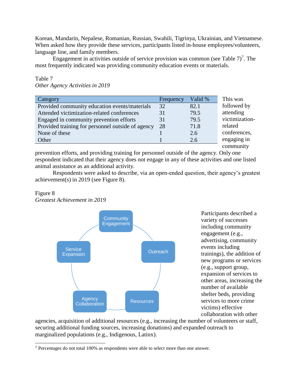Korean, Mandarin, Nepalese, Romanian, Russian, Swahili, Tigrinya, Ukrainian, and Vietnamese. When asked how they provide these services, participants listed in-house employees/volunteers, language line, and family members.

Engagement in activities outside of service provision was common (see Table  $7$ )<sup>7</sup>. The most frequently indicated was providing community education events or materials.

| Category                                          | Frequency | Valid % | This was       |
|---------------------------------------------------|-----------|---------|----------------|
| Provided community education events/materials     | 32        | 82.1    | followed by    |
| Attended victimization-related conferences        | 31        | 79.5    | attending      |
| Engaged in community prevention efforts           | 31        | 79.5    | victimization- |
| Provided training for personnel outside of agency | 28        | 71.8    | related        |
| None of these                                     |           | 2.6     | conferences,   |
| Other                                             |           | 2.6     | engaging in    |
|                                                   |           |         | community      |

#### Table 7 *Other Agency Activities in 2019*

prevention efforts, and providing training for personnel outside of the agency. Only one respondent indicated that their agency does not engage in any of these activities and one listed animal assistance as an additional activity.

Respondents were asked to describe, via an open-ended question, their agency's greatest achievement(s) in 2019 (see Figure 8).

#### Figure 8 *Greatest Achievement in 2019*



Participants described a variety of successes including community engagement (e.g., advertising, community events including trainings), the addition of new programs or services (e.g., support group, expansion of services to other areas, increasing the number of available shelter beds, providing services to more crime victims) effective collaboration with other

agencies, acquisition of additional resources (e.g., increasing the number of volunteers or staff, securing additional funding sources, increasing donations) and expanded outreach to marginalized populations (e.g., Indigenous, Latinx).

l <sup>7</sup> Percentages do not total 100% as respondents were able to select more than one answer.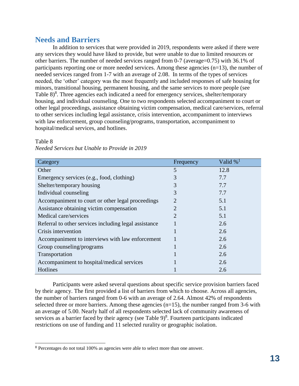#### **Needs and Barriers**

In addition to services that were provided in 2019, respondents were asked if there were any services they would have liked to provide, but were unable to due to limited resources or other barriers. The number of needed services ranged from 0-7 (average=0.75) with 36.1% of participants reporting one or more needed services. Among these agencies (n=13), the number of needed services ranged from 1-7 with an average of 2.08. In terms of the types of services needed, the 'other' category was the most frequently and included responses of safe housing for minors, transitional housing, permanent housing, and the same services to more people (see Table 8)<sup>8</sup>. Three agencies each indicated a need for emergency services, shelter/temporary housing, and individual counseling. One to two respondents selected accompaniment to court or other legal proceedings, assistance obtaining victim compensation, medical care/services, referral to other services including legal assistance, crisis intervention, accompaniment to interviews with law enforcement, group counseling/programs, transportation, accompaniment to hospital/medical services, and hotlines.

| Category                                              | Frequency      | Valid $\%$ <sup>1</sup> |
|-------------------------------------------------------|----------------|-------------------------|
| Other                                                 | 5              | 12.8                    |
| Emergency services (e.g., food, clothing)             | 3              | 7.7                     |
| Shelter/temporary housing                             | 3              | 7.7                     |
| Individual counseling                                 | 3              | 7.7                     |
| Accompaniment to court or other legal proceedings     | $\overline{2}$ | 5.1                     |
| Assistance obtaining victim compensation              | 2              | 5.1                     |
| Medical care/services                                 | 2              | 5.1                     |
| Referral to other services including legal assistance |                | 2.6                     |
| Crisis intervention                                   |                | 2.6                     |
| Accompaniment to interviews with law enforcement      |                | 2.6                     |
| Group counseling/programs                             |                | 2.6                     |
| Transportation                                        |                | 2.6                     |
| Accompaniment to hospital/medical services            |                | 2.6                     |
| Hotlines                                              |                | 2.6                     |

#### Table 8

l

| Needed Services but Unable to Provide in 2019 |  |  |  |
|-----------------------------------------------|--|--|--|
|                                               |  |  |  |

Participants were asked several questions about specific service provision barriers faced by their agency. The first provided a list of barriers from which to choose. Across all agencies, the number of barriers ranged from 0-6 with an average of 2.64. Almost 42% of respondents selected three or more barriers. Among these agencies  $(n=15)$ , the number ranged from 3-6 with an average of 5.00. Nearly half of all respondents selected lack of community awareness of services as a barrier faced by their agency (see Table  $9)^8$ . Fourteen participants indicated restrictions on use of funding and 11 selected rurality or geographic isolation.

<sup>8</sup> Percentages do not total 100% as agencies were able to select more than one answer.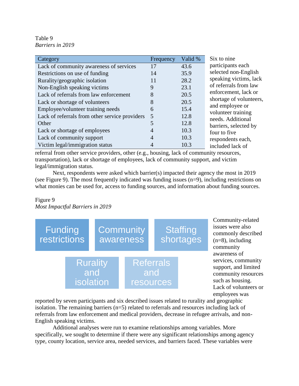Table 9 *Barriers in 2019*

| Category                                       | Frequency | Valid % | Six to nine                             |
|------------------------------------------------|-----------|---------|-----------------------------------------|
| Lack of community awareness of services        | 17        | 43.6    | participants each                       |
| Restrictions on use of funding                 | 14        | 35.9    | selected non-English                    |
| Rurality/geographic isolation                  | 11        | 28.2    | speaking victims, lack                  |
| Non-English speaking victims                   | 9         | 23.1    | of referrals from law                   |
| Lack of referrals from law enforcement         | 8         | 20.5    | enforcement, lack or                    |
| Lack or shortage of volunteers                 | 8         | 20.5    | shortage of volunteers,                 |
| Employee/volunteer training needs              | 6         | 15.4    | and employee or                         |
| Lack of referrals from other service providers | 5         | 12.8    | volunteer training<br>needs. Additional |
| Other                                          |           | 12.8    | barriers, selected by                   |
| Lack or shortage of employees                  |           | 10.3    | four to five                            |
| Lack of community support                      |           | 10.3    | respondents each,                       |
| Victim legal/immigration status                |           | 10.3    | included lack of                        |

referral from other service providers, other (e.g., housing, lack of community resources, transportation), lack or shortage of employees, lack of community support, and victim legal/immigration status.

Next, respondents were asked which barrier(s) impacted their agency the most in 2019 (see Figure 9). The most frequently indicated was funding issues (n=9), including restrictions on what monies can be used for, access to funding sources, and information about funding sources.

#### Figure 9 *Most Impactful Barriers in 2019*



Community-related issues were also commonly described  $(n=8)$ , including community awareness of services, community support, and limited community resources such as housing. Lack of volunteers or employees was

reported by seven participants and six described issues related to rurality and geographic isolation. The remaining barriers (n=5) related to referrals and resources including lack of referrals from law enforcement and medical providers, decrease in refugee arrivals, and non-English speaking victims.

Additional analyses were run to examine relationships among variables. More specifically, we sought to determine if there were any significant relationships among agency type, county location, service area, needed services, and barriers faced. These variables were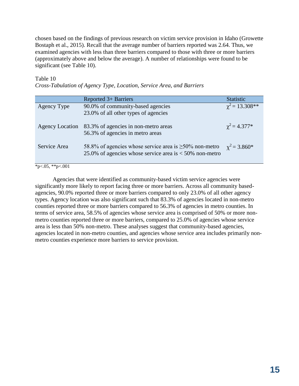chosen based on the findings of previous research on victim service provision in Idaho (Growette Bostaph et al., 2015). Recall that the average number of barriers reported was 2.64. Thus, we examined agencies with less than three barriers compared to those with three or more barriers (approximately above and below the average). A number of relationships were found to be significant (see Table 10).

#### Table 10 *Cross-Tabulation of Agency Type, Location, Service Area, and Barriers*

|                        | Reported 3+ Barriers                                                                                                      | <b>Statistic</b>      |
|------------------------|---------------------------------------------------------------------------------------------------------------------------|-----------------------|
| Agency Type            | 90.0% of community-based agencies<br>23.0% of all other types of agencies                                                 | $\gamma^2$ = 13.308** |
| <b>Agency Location</b> | 83.3% of agencies in non-metro areas<br>56.3% of agencies in metro areas                                                  | $\chi^2$ = 4.377*     |
| Service Area           | 58.8% of agencies whose service area is $\geq$ 50% non-metro<br>25.0% of agencies whose service area is $<$ 50% non-metro | $\chi^2$ = 3.860*     |

 $*p<.05, **p<.001$ 

Agencies that were identified as community-based victim service agencies were significantly more likely to report facing three or more barriers. Across all community basedagencies, 90.0% reported three or more barriers compared to only 23.0% of all other agency types. Agency location was also significant such that 83.3% of agencies located in non-metro counties reported three or more barriers compared to 56.3% of agencies in metro counties. In terms of service area, 58.5% of agencies whose service area is comprised of 50% or more nonmetro counties reported three or more barriers, compared to 25.0% of agencies whose service area is less than 50% non-metro. These analyses suggest that community-based agencies, agencies located in non-metro counties, and agencies whose service area includes primarily nonmetro counties experience more barriers to service provision.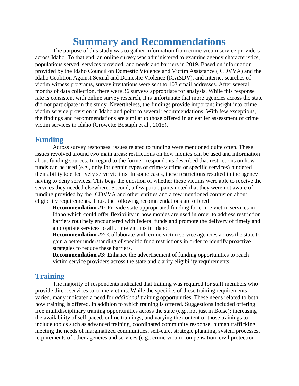## **Summary and Recommendations**

The purpose of this study was to gather information from crime victim service providers across Idaho. To that end, an online survey was administered to examine agency characteristics, populations served, services provided, and needs and barriers in 2019. Based on information provided by the Idaho Council on Domestic Violence and Victim Assistance (ICDVVA) and the Idaho Coalition Against Sexual and Domestic Violence (ICASDV), and internet searches of victim witness programs, survey invitations were sent to 103 email addresses. After several months of data collection, there were 36 surveys appropriate for analysis. While this response rate is consistent with online survey research, it is unfortunate that more agencies across the state did not participate in the study. Nevertheless, the findings provide important insight into crime victim service provision in Idaho and point to several recommendations. With few exceptions, the findings and recommendations are similar to those offered in an earlier assessment of crime victim services in Idaho (Growette Bostaph et al., 2015).

#### **Funding**

Across survey responses, issues related to funding were mentioned quite often. These issues revolved around two main areas: restrictions on how monies can be used and information about funding sources. In regard to the former, respondents described that restrictions on how funds can be used (e.g., only for certain types of crime victims or specific services) hindered their ability to effectively serve victims. In some cases, these restrictions resulted in the agency having to deny services. This begs the question of whether these victims were able to receive the services they needed elsewhere. Second, a few participants noted that they were not aware of funding provided by the ICDVVA and other entities and a few mentioned confusion about eligibility requirements. Thus, the following recommendations are offered:

**Recommendation #1:** Provide state-appropriated funding for crime victim services in Idaho which could offer flexibility in how monies are used in order to address restriction barriers routinely encountered with federal funds and promote the delivery of timely and appropriate services to all crime victims in Idaho.

**Recommendation #2:** Collaborate with crime victim service agencies across the state to gain a better understanding of specific fund restrictions in order to identify proactive strategies to reduce these barriers.

**Recommendation #3:** Enhance the advertisement of funding opportunities to reach victim service providers across the state and clarify eligibility requirements.

#### **Training**

The majority of respondents indicated that training was required for staff members who provide direct services to crime victims. While the specifics of these training requirements varied, many indicated a need for *additional* training opportunities. These needs related to both how training is offered, in addition to which training is offered. Suggestions included offering free multidisciplinary training opportunities across the state (e.g., not just in Boise); increasing the availability of self-paced, online trainings; and varying the content of those trainings to include topics such as advanced training, coordinated community response, human trafficking, meeting the needs of marginalized communities, self-care, strategic planning, system processes, requirements of other agencies and services (e.g., crime victim compensation, civil protection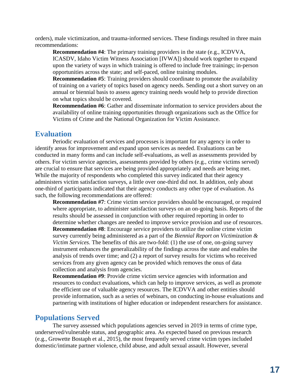orders), male victimization, and trauma-informed services. These findings resulted in three main recommendations:

**Recommendation #4**: The primary training providers in the state (e.g., ICDVVA, ICASDV, Idaho Victim Witness Association [IVWA]) should work together to expand upon the variety of ways in which training is offered to include free trainings; in-person opportunities across the state; and self-paced, online training modules.

**Recommendation #5**: Training providers should coordinate to promote the availability of training on a variety of topics based on agency needs. Sending out a short survey on an annual or biennial basis to assess agency training needs would help to provide direction on what topics should be covered.

**Recommendation #6**: Gather and disseminate information to service providers about the availability of online training opportunities through organizations such as the Office for Victims of Crime and the National Organization for Victim Assistance.

#### **Evaluation**

Periodic evaluation of services and processes is important for any agency in order to identify areas for improvement and expand upon services as needed. Evaluations can be conducted in many forms and can include self-evaluations, as well as assessments provided by others. For victim service agencies, assessments provided by others (e.g., crime victims served) are crucial to ensure that services are being provided appropriately and needs are being met. While the majority of respondents who completed this survey indicated that their agency administers victim satisfaction surveys, a little over one-third did not. In addition, only about one-third of participants indicated that their agency conducts any other type of evaluation. As such, the following recommendations are offered:

**Recommendation #7**: Crime victim service providers should be encouraged, or required where appropriate, to administer satisfaction surveys on an on-going basis. Reports of the results should be assessed in conjunction with other required reporting in order to determine whether changes are needed to improve service provision and use of resources. **Recommendation #8**: Encourage service providers to utilize the online crime victim survey currently being administered as a part of the *Biennial Report on Victimization & Victim Services.* The benefits of this are two-fold: (1) the use of one, on-going survey instrument enhances the generalizability of the findings across the state and enables the analysis of trends over time; and (2) a report of survey results for victims who received services from any given agency can be provided which removes the onus of data collection and analysis from agencies.

**Recommendation #9**: Provide crime victim service agencies with information and resources to conduct evaluations, which can help to improve services, as well as promote the efficient use of valuable agency resources. The ICDVVA and other entities should provide information, such as a series of webinars, on conducting in-house evaluations and partnering with institutions of higher education or independent researchers for assistance.

#### **Populations Served**

The survey assessed which populations agencies served in 2019 in terms of crime type, underserved/vulnerable status, and geographic area. As expected based on previous research (e.g., Growette Bostaph et al., 2015), the most frequently served crime victim types included domestic/intimate partner violence, child abuse, and adult sexual assault. However, several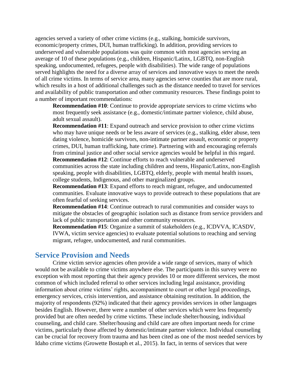agencies served a variety of other crime victims (e.g., stalking, homicide survivors, economic/property crimes, DUI, human trafficking). In addition, providing services to underserved and vulnerable populations was quite common with most agencies serving an average of 10 of these populations (e.g., children, Hispanic/Latinx, LGBTQ, non-English speaking, undocumented, refugees, people with disabilities). The wide range of populations served highlights the need for a diverse array of services and innovative ways to meet the needs of all crime victims. In terms of service area, many agencies serve counties that are more rural, which results in a host of additional challenges such as the distance needed to travel for services and availability of public transportation and other community resources. These findings point to a number of important recommendations:

**Recommendation #10**: Continue to provide appropriate services to crime victims who most frequently seek assistance (e.g., domestic/intimate partner violence, child abuse, adult sexual assault).

**Recommendation #11**: Expand outreach and service provision to other crime victims who may have unique needs or be less aware of services (e.g., stalking, elder abuse, teen dating violence, homicide survivors, non-intimate partner assault, economic or property crimes, DUI, human trafficking, hate crime). Partnering with and encouraging referrals from criminal justice and other social service agencies would be helpful in this regard. **Recommendation #12**: Continue efforts to reach vulnerable and underserved

communities across the state including children and teens, Hispanic/Latinx, non-English speaking, people with disabilities, LGBTQ, elderly, people with mental health issues, college students, Indigenous, and other marginalized groups.

**Recommendation #13**: Expand efforts to reach migrant, refugee, and undocumented communities. Evaluate innovative ways to provide outreach to these populations that are often fearful of seeking services.

**Recommendation #14**: Continue outreach to rural communities and consider ways to mitigate the obstacles of geographic isolation such as distance from service providers and lack of public transportation and other community resources.

**Recommendation #15**: Organize a summit of stakeholders (e.g., ICDVVA, ICASDV, IVWA, victim service agencies) to evaluate potential solutions to reaching and serving migrant, refugee, undocumented, and rural communities.

#### **Service Provision and Needs**

Crime victim service agencies often provide a wide range of services, many of which would not be available to crime victims anywhere else. The participants in this survey were no exception with most reporting that their agency provides 10 or more different services, the most common of which included referral to other services including legal assistance, providing information about crime victims' rights, accompaniment to court or other legal proceedings, emergency services, crisis intervention, and assistance obtaining restitution. In addition, the majority of respondents (92%) indicated that their agency provides services in other languages besides English. However, there were a number of other services which were less frequently provided but are often needed by crime victims. These include shelter/housing, individual counseling, and child care. Shelter/housing and child care are often important needs for crime victims, particularly those affected by domestic/intimate partner violence. Individual counseling can be crucial for recovery from trauma and has been cited as one of the most needed services by Idaho crime victims (Growette Bostaph et al., 2015). In fact, in terms of services that were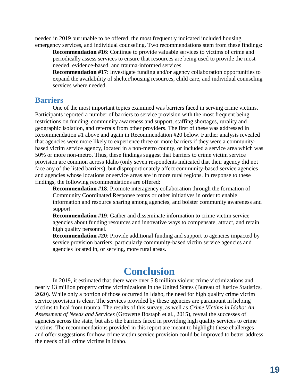needed in 2019 but unable to be offered, the most frequently indicated included housing, emergency services, and individual counseling. Two recommendations stem from these findings:

**Recommendation #16**: Continue to provide valuable services to victims of crime and periodically assess services to ensure that resources are being used to provide the most needed, evidence-based, and trauma-informed services.

**Recommendation #17**: Investigate funding and/or agency collaboration opportunities to expand the availability of shelter/housing resources, child care, and individual counseling services where needed.

#### **Barriers**

One of the most important topics examined was barriers faced in serving crime victims. Participants reported a number of barriers to service provision with the most frequent being restrictions on funding, community awareness and support, staffing shortages, rurality and geographic isolation, and referrals from other providers. The first of these was addressed in Recommendation #1 above and again in Recommendation #20 below. Further analysis revealed that agencies were more likely to experience three or more barriers if they were a communitybased victim service agency, located in a non-metro county, or included a service area which was 50% or more non-metro. Thus, these findings suggest that barriers to crime victim service provision are common across Idaho (only seven respondents indicated that their agency did not face any of the listed barriers), but disproportionately affect community-based service agencies and agencies whose locations or service areas are in more rural regions. In response to these findings, the following recommendations are offered:

**Recommendation #18**: Promote interagency collaboration through the formation of Community Coordinated Response teams or other initiatives in order to enable information and resource sharing among agencies, and bolster community awareness and support.

**Recommendation #19**: Gather and disseminate information to crime victim service agencies about funding resources and innovative ways to compensate, attract, and retain high quality personnel.

**Recommendation #20**: Provide additional funding and support to agencies impacted by service provision barriers, particularly community-based victim service agencies and agencies located in, or serving, more rural areas.

## **Conclusion**

In 2019*,* it estimated that there were over 5.8 million violent crime victimizations and nearly 13 million property crime victimizations in the United States (Bureau of Justice Statistics, 2020). While only a portion of those occurred in Idaho, the need for high quality crime victim service provision is clear. The services provided by these agencies are paramount in helping victims to heal from trauma. The results of this survey, as well as *Crime Victims in Idaho: An Assessment of Needs and Services* (Growette Bostaph et al., 2015), reveal the successes of agencies across the state, but also the barriers faced in providing high quality services to crime victims. The recommendations provided in this report are meant to highlight these challenges and offer suggestions for how crime victim service provision could be improved to better address the needs of all crime victims in Idaho.